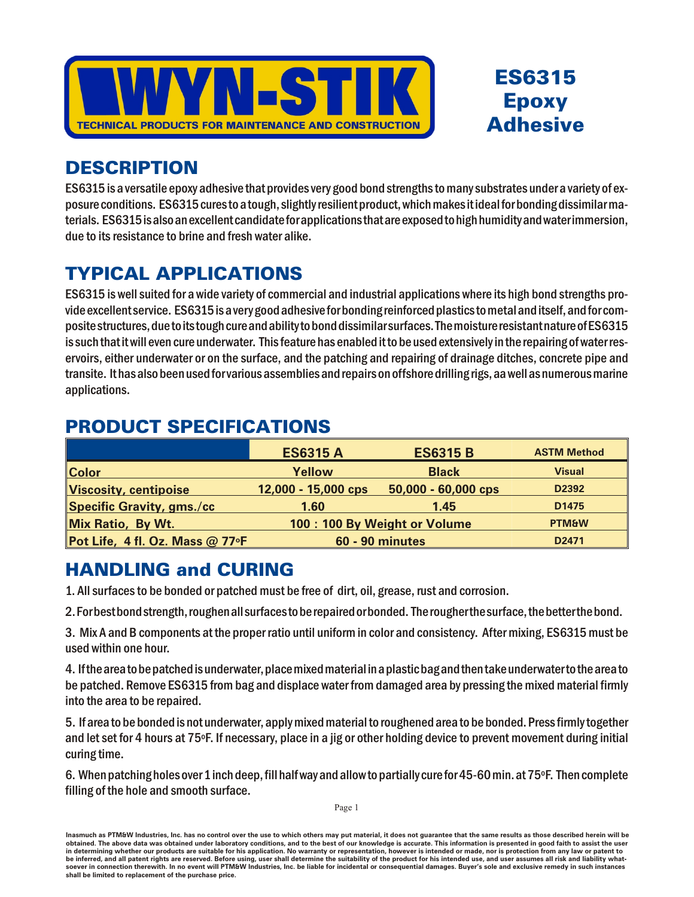



## **DESCRIPTION**

ES6315 is a versatile epoxy adhesive that provides very good bond strengths to many substrates under a variety of exposure conditions. ES6315 cures to a tough, slightly resilient product, which makes it ideal for bonding dissimilar materials. ES6315 is also an excellent candidate for applications that are exposed to high humidity and water immersion, due to its resistance to brine and fresh water alike.

## **TYPICAL APPLICATIONS**

ES6315 is well suited for a wide variety of commercial and industrial applications where its high bond strengths provide excellent service. ES6315 is a very good adhesive for bonding reinforced plastics to metal and itself, and for composite structures, due to its tough cure and ability to bond dissimilar surfaces. The moisture resistant nature of ES6315 is such that it will even cure underwater. This feature has enabled it to be used extensively in the repairing of water reservoirs, either underwater or on the surface, and the patching and repairing of drainage ditches, concrete pipe and transite. It has also been used forvarious assemblies and repairs on offshore drilling rigs, aa well as numerous marine applications.

## **PRODUCT SPECIFICATIONS**

|                                  | <b>ES6315 A</b>              | <b>ES6315 B</b>     | <b>ASTM Method</b> |
|----------------------------------|------------------------------|---------------------|--------------------|
| <b>Color</b>                     | Yellow                       | <b>Black</b>        | <b>Visual</b>      |
| Viscosity, centipoise            | 12,000 - 15,000 cps          | 50,000 - 60,000 cps | D2392              |
| <b>Specific Gravity, gms./cc</b> | 1.60                         | 1.45                | D <sub>1475</sub>  |
| Mix Ratio, By Wt.                | 100: 100 By Weight or Volume | <b>PTM&amp;W</b>    |                    |
| Pot Life, 4 fl. Oz. Mass @ 77°F  | <b>60 - 90 minutes</b>       |                     | D2471              |

## **HANDLING and CURING**

1. All surfaces to be bonded or patched must be free of dirt, oil, grease, rust and corrosion.

2. For best bond strength, roughen all surfaces to be repaired or bonded. The rougher the surface, the better the bond.

3. Mix A and B components at the proper ratio until uniform in color and consistency. After mixing, ES6315 must be used within one hour.

4. If the area to be patched is underwater, place mixed material in a plastic bag and then take underwater to the area to be patched. Remove ES6315 from bag and displace water from damaged area by pressing the mixed material firmly into the area to be repaired.

5. If area to be bonded is not underwater, apply mixed material to roughened area to be bonded. Press firmly together and let set for 4 hours at 75°F. If necessary, place in a jig or other holding device to prevent movement during initial curing time.

6. When patching holes over 1 inch deep, fill half way and allow to partially cure for 45-60 min. at 75°F. Then complete filling of the hole and smooth surface.

Inasmuch as PTM&W Industries. Inc. has no control over the use to which others may put material, it does not quarantee that the same results as those described herein will be obtained. The above data was obtained under laboratory conditions, and to the best of our knowledge is accurate. This information is presented in good faith to assist the user in determining whether our products are suitable for his application. No warranty or representation, however is intended or made, nor is protection from any law or patent to be inferred, and all patent rights are reserved. Before using, user shall determine the suitability of the product for his intended use, and user assumes all risk and liability whatsoever in connection therewith. In no event will PTM&W Industries, Inc. be liable for incidental or consequential damages. Buyer's sole and exclusive remedy in such instances shall be limited to replacement of the purchase price.